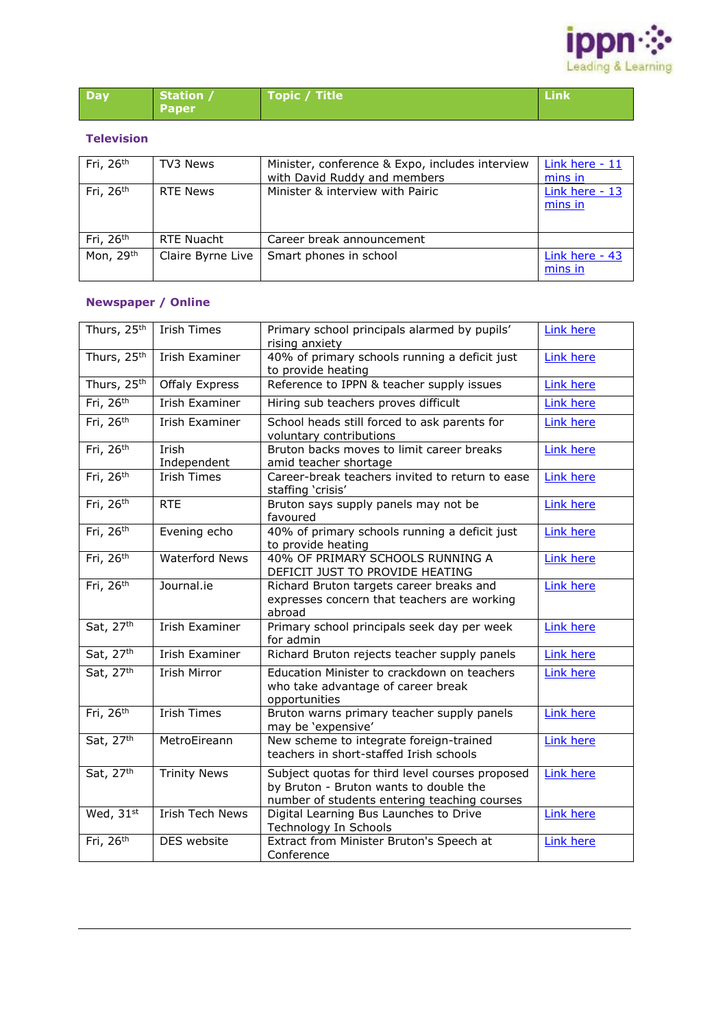

| Day | Station /    | Topic / Title | <b>Link</b> |
|-----|--------------|---------------|-------------|
|     | <b>Paper</b> |               |             |

## **Television**

| Fri, 26 <sup>th</sup> | TV3 News          | Minister, conference & Expo, includes interview<br>with David Ruddy and members | Link here - 11<br>mins in |
|-----------------------|-------------------|---------------------------------------------------------------------------------|---------------------------|
| Fri, $26th$           | <b>RTE News</b>   | Minister & interview with Pairic                                                | Link here - 13<br>mins in |
| Fri, 26 <sup>th</sup> | RTE Nuacht        | Career break announcement                                                       |                           |
| Mon, 29th             | Claire Byrne Live | Smart phones in school                                                          | Link here - 43<br>mins in |

## **Newspaper / Online**

| Thurs, 25th           | <b>Irish Times</b>     | Primary school principals alarmed by pupils'<br>rising anxiety                                                                            | <b>Link here</b> |
|-----------------------|------------------------|-------------------------------------------------------------------------------------------------------------------------------------------|------------------|
| Thurs, 25th           | Irish Examiner         | 40% of primary schools running a deficit just<br>to provide heating                                                                       | <b>Link here</b> |
| Thurs, 25th           | <b>Offaly Express</b>  | Reference to IPPN & teacher supply issues                                                                                                 | Link here        |
| Fri, 26 <sup>th</sup> | Irish Examiner         | Hiring sub teachers proves difficult                                                                                                      | <b>Link here</b> |
| Fri, 26 <sup>th</sup> | Irish Examiner         | School heads still forced to ask parents for<br>voluntary contributions                                                                   | <b>Link here</b> |
| Fri, $26th$           | Irish<br>Independent   | Bruton backs moves to limit career breaks<br>amid teacher shortage                                                                        | <b>Link here</b> |
| Fri, 26 <sup>th</sup> | <b>Irish Times</b>     | Career-break teachers invited to return to ease<br>staffing 'crisis'                                                                      | <b>Link here</b> |
| Fri, 26 <sup>th</sup> | <b>RTE</b>             | Bruton says supply panels may not be<br>favoured                                                                                          | <b>Link here</b> |
| Fri, 26 <sup>th</sup> | Evening echo           | 40% of primary schools running a deficit just<br>to provide heating                                                                       | <b>Link here</b> |
| Fri, 26 <sup>th</sup> | <b>Waterford News</b>  | 40% OF PRIMARY SCHOOLS RUNNING A<br>DEFICIT JUST TO PROVIDE HEATING                                                                       | <b>Link here</b> |
| Fri, 26 <sup>th</sup> | Journal.ie             | Richard Bruton targets career breaks and<br>expresses concern that teachers are working<br>abroad                                         | <b>Link here</b> |
| Sat, 27th             | <b>Irish Examiner</b>  | Primary school principals seek day per week<br>for admin                                                                                  | <b>Link here</b> |
| Sat, 27th             | Irish Examiner         | Richard Bruton rejects teacher supply panels                                                                                              | <b>Link here</b> |
| Sat, 27th             | <b>Irish Mirror</b>    | Education Minister to crackdown on teachers<br>who take advantage of career break<br>opportunities                                        | <b>Link here</b> |
| Fri, $26th$           | <b>Irish Times</b>     | Bruton warns primary teacher supply panels<br>may be 'expensive'                                                                          | <b>Link here</b> |
| Sat, 27th             | MetroEireann           | New scheme to integrate foreign-trained<br>teachers in short-staffed Irish schools                                                        | <b>Link here</b> |
| Sat, 27th             | <b>Trinity News</b>    | Subject quotas for third level courses proposed<br>by Bruton - Bruton wants to double the<br>number of students entering teaching courses | <b>Link here</b> |
| Wed, 31st             | <b>Irish Tech News</b> | Digital Learning Bus Launches to Drive<br>Technology In Schools                                                                           | <b>Link here</b> |
| Fri, 26 <sup>th</sup> | DES website            | Extract from Minister Bruton's Speech at<br>Conference                                                                                    | <b>Link here</b> |